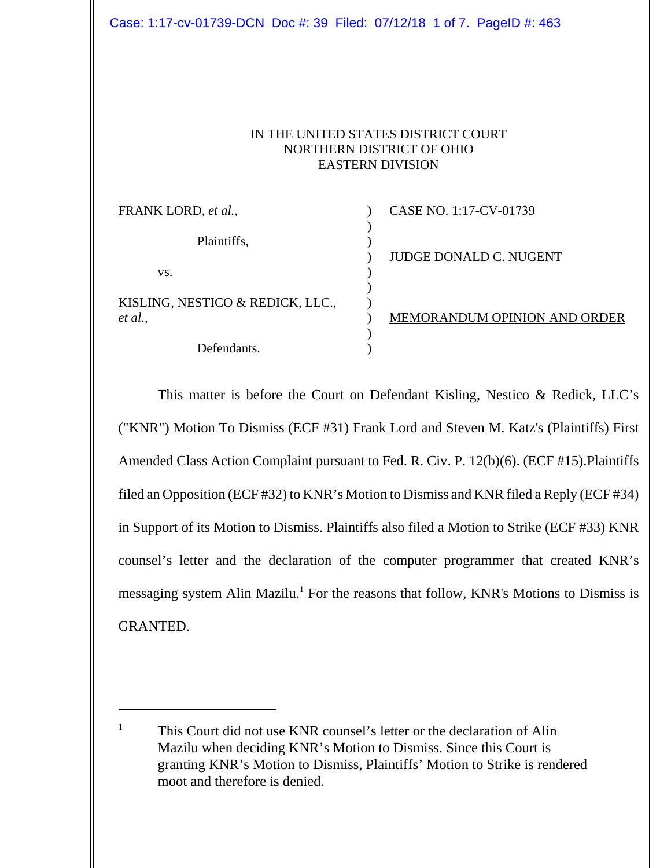## IN THE UNITED STATES DISTRICT COURT NORTHERN DISTRICT OF OHIO EASTERN DIVISION

| FRANK LORD, et al.,              | CASE NO. 1:17-CV-01739        |
|----------------------------------|-------------------------------|
|                                  |                               |
| Plaintiffs,                      |                               |
|                                  | <b>JUDGE DONALD C. NUGENT</b> |
| VS.                              |                               |
|                                  |                               |
| KISLING, NESTICO & REDICK, LLC., |                               |
| et al.,                          | MEMORANDUM OPINION AND ORDER  |
|                                  |                               |
| Defendants.                      |                               |

This matter is before the Court on Defendant Kisling, Nestico & Redick, LLC's ("KNR") Motion To Dismiss (ECF #31) Frank Lord and Steven M. Katz's (Plaintiffs) First Amended Class Action Complaint pursuant to Fed. R. Civ. P. 12(b)(6). (ECF #15).Plaintiffs filed an Opposition (ECF #32) to KNR's Motion to Dismiss and KNR filed a Reply (ECF #34) in Support of its Motion to Dismiss. Plaintiffs also filed a Motion to Strike (ECF #33) KNR counsel's letter and the declaration of the computer programmer that created KNR's messaging system Alin Mazilu.<sup>1</sup> For the reasons that follow, KNR's Motions to Dismiss is GRANTED.

<sup>&</sup>lt;sup>1</sup> This Court did not use KNR counsel's letter or the declaration of Alin Mazilu when deciding KNR's Motion to Dismiss. Since this Court is granting KNR's Motion to Dismiss, Plaintiffs' Motion to Strike is rendered moot and therefore is denied.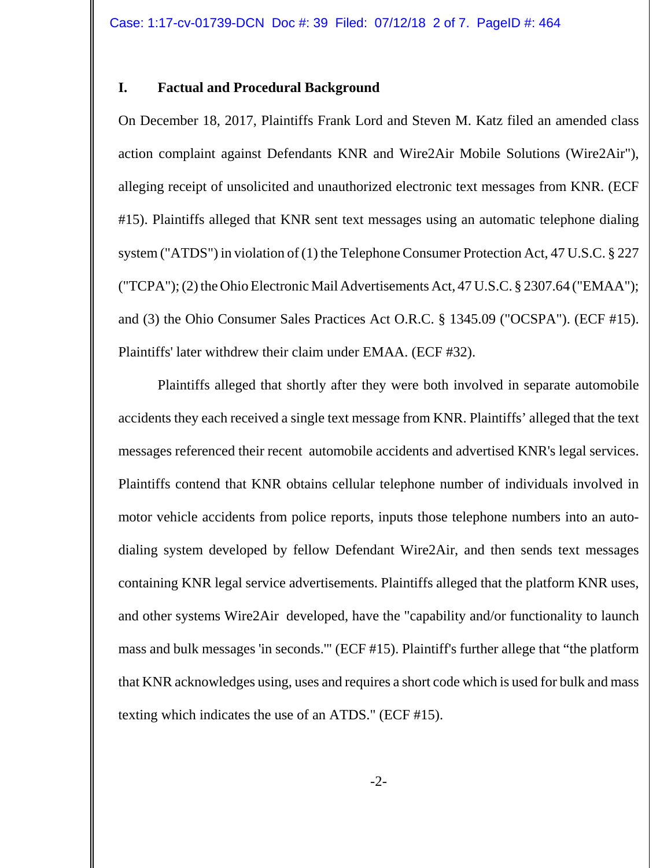### **I. Factual and Procedural Background**

On December 18, 2017, Plaintiffs Frank Lord and Steven M. Katz filed an amended class action complaint against Defendants KNR and Wire2Air Mobile Solutions (Wire2Air"), alleging receipt of unsolicited and unauthorized electronic text messages from KNR. (ECF #15). Plaintiffs alleged that KNR sent text messages using an automatic telephone dialing system ("ATDS") in violation of (1) the Telephone Consumer Protection Act, 47 U.S.C. § 227 ("TCPA"); (2) the Ohio Electronic Mail Advertisements Act, 47 U.S.C. § 2307.64 ("EMAA"); and (3) the Ohio Consumer Sales Practices Act O.R.C. § 1345.09 ("OCSPA"). (ECF #15). Plaintiffs' later withdrew their claim under EMAA. (ECF #32).

Plaintiffs alleged that shortly after they were both involved in separate automobile accidents they each received a single text message from KNR. Plaintiffs' alleged that the text messages referenced their recent automobile accidents and advertised KNR's legal services. Plaintiffs contend that KNR obtains cellular telephone number of individuals involved in motor vehicle accidents from police reports, inputs those telephone numbers into an autodialing system developed by fellow Defendant Wire2Air, and then sends text messages containing KNR legal service advertisements. Plaintiffs alleged that the platform KNR uses, and other systems Wire2Air developed, have the "capability and/or functionality to launch mass and bulk messages 'in seconds.'" (ECF #15). Plaintiff's further allege that "the platform that KNR acknowledges using, uses and requires a short code which is used for bulk and mass texting which indicates the use of an ATDS." (ECF #15).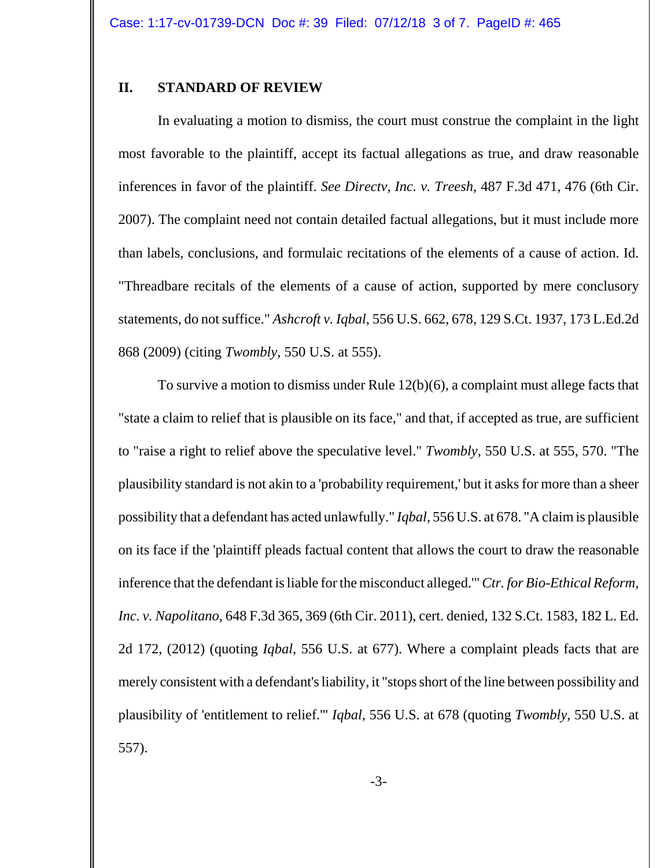#### **II. STANDARD OF REVIEW**

In evaluating a motion to dismiss, the court must construe the complaint in the light most favorable to the plaintiff, accept its factual allegations as true, and draw reasonable inferences in favor of the plaintiff. *See Directv, Inc. v. Treesh*, 487 F.3d 471, 476 (6th Cir. 2007). The complaint need not contain detailed factual allegations, but it must include more than labels, conclusions, and formulaic recitations of the elements of a cause of action. Id. "Threadbare recitals of the elements of a cause of action, supported by mere conclusory statements, do not suffice." *Ashcroft v. Iqbal*, 556 U.S. 662, 678, 129 S.Ct. 1937, 173 L.Ed.2d 868 (2009) (citing *Twombly*, 550 U.S. at 555).

To survive a motion to dismiss under Rule 12(b)(6), a complaint must allege facts that "state a claim to relief that is plausible on its face," and that, if accepted as true, are sufficient to "raise a right to relief above the speculative level." *Twombly*, 550 U.S. at 555, 570. "The plausibility standard is not akin to a 'probability requirement,' but it asks for more than a sheer possibility that a defendant has acted unlawfully." *Iqbal*, 556 U.S. at 678. "A claim is plausible on its face if the 'plaintiff pleads factual content that allows the court to draw the reasonable inference that the defendant is liable for the misconduct alleged.'" *Ctr. for Bio-Ethical Reform, Inc. v. Napolitano*, 648 F.3d 365, 369 (6th Cir. 2011), cert. denied, 132 S.Ct. 1583, 182 L. Ed. 2d 172, (2012) (quoting *Iqbal*, 556 U.S. at 677). Where a complaint pleads facts that are merely consistent with a defendant's liability, it "stops short of the line between possibility and plausibility of 'entitlement to relief.'" *Iqbal*, 556 U.S. at 678 (quoting *Twombly*, 550 U.S. at 557).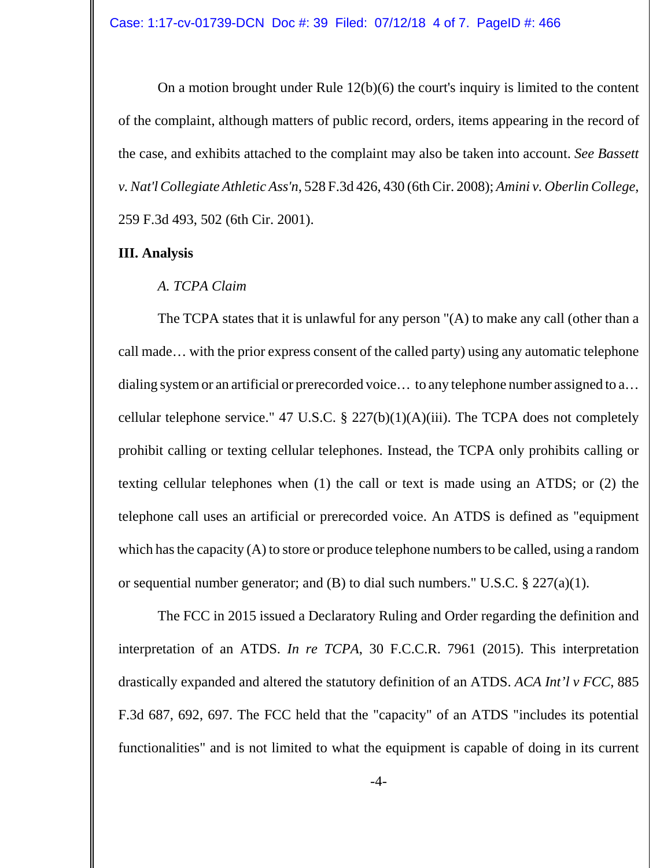On a motion brought under Rule 12(b)(6) the court's inquiry is limited to the content of the complaint, although matters of public record, orders, items appearing in the record of the case, and exhibits attached to the complaint may also be taken into account. *See Bassett v. Nat'l Collegiate Athletic Ass'n*, 528 F.3d 426, 430 (6th Cir. 2008); *Amini v. Oberlin College*, 259 F.3d 493, 502 (6th Cir. 2001).

### **III. Analysis**

## *A. TCPA Claim*

The TCPA states that it is unlawful for any person "(A) to make any call (other than a call made… with the prior express consent of the called party) using any automatic telephone dialing system or an artificial or prerecorded voice… to any telephone number assigned to a… cellular telephone service." 47 U.S.C.  $\S$  227(b)(1)(A)(iii). The TCPA does not completely prohibit calling or texting cellular telephones. Instead, the TCPA only prohibits calling or texting cellular telephones when (1) the call or text is made using an ATDS; or (2) the telephone call uses an artificial or prerecorded voice. An ATDS is defined as "equipment which has the capacity (A) to store or produce telephone numbers to be called, using a random or sequential number generator; and (B) to dial such numbers." U.S.C.  $\S 227(a)(1)$ .

The FCC in 2015 issued a Declaratory Ruling and Order regarding the definition and interpretation of an ATDS. *In re TCPA*, 30 F.C.C.R. 7961 (2015). This interpretation drastically expanded and altered the statutory definition of an ATDS. *ACA Int'l v FCC*, 885 F.3d 687, 692, 697. The FCC held that the "capacity" of an ATDS "includes its potential functionalities" and is not limited to what the equipment is capable of doing in its current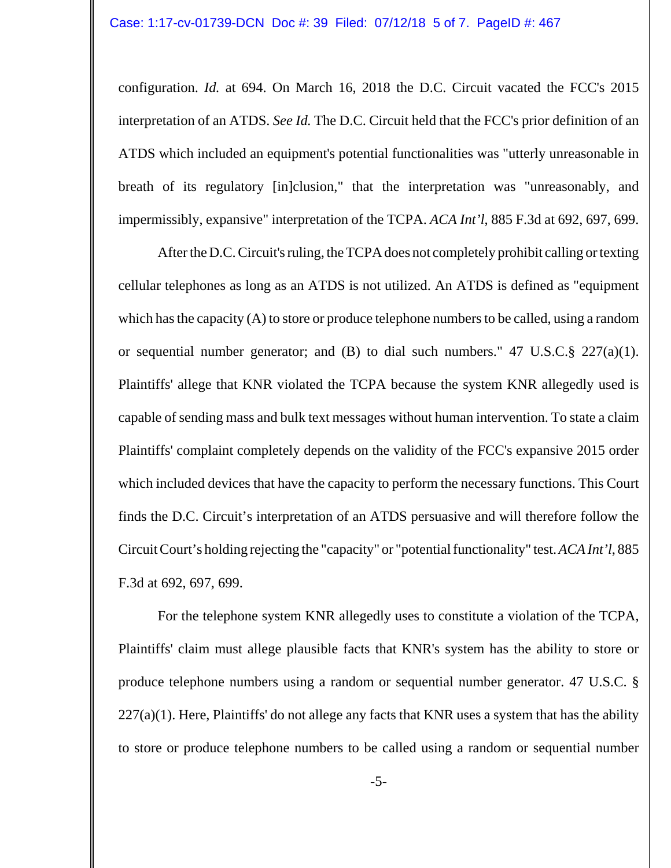configuration. *Id.* at 694. On March 16, 2018 the D.C. Circuit vacated the FCC's 2015 interpretation of an ATDS. *See Id.* The D.C. Circuit held that the FCC's prior definition of an ATDS which included an equipment's potential functionalities was "utterly unreasonable in breath of its regulatory [in]clusion," that the interpretation was "unreasonably, and impermissibly, expansive" interpretation of the TCPA. *ACA Int'l*, 885 F.3d at 692, 697, 699.

After the D.C. Circuit's ruling, the TCPA does not completely prohibit calling or texting cellular telephones as long as an ATDS is not utilized. An ATDS is defined as "equipment which has the capacity (A) to store or produce telephone numbers to be called, using a random or sequential number generator; and (B) to dial such numbers." 47 U.S.C.§ 227(a)(1). Plaintiffs' allege that KNR violated the TCPA because the system KNR allegedly used is capable of sending mass and bulk text messages without human intervention. To state a claim Plaintiffs' complaint completely depends on the validity of the FCC's expansive 2015 order which included devices that have the capacity to perform the necessary functions. This Court finds the D.C. Circuit's interpretation of an ATDS persuasive and will therefore follow the Circuit Court's holding rejecting the "capacity" or "potential functionality" test. *ACA Int'l*, 885 F.3d at 692, 697, 699.

For the telephone system KNR allegedly uses to constitute a violation of the TCPA, Plaintiffs' claim must allege plausible facts that KNR's system has the ability to store or produce telephone numbers using a random or sequential number generator. 47 U.S.C. §  $227(a)(1)$ . Here, Plaintiffs' do not allege any facts that KNR uses a system that has the ability to store or produce telephone numbers to be called using a random or sequential number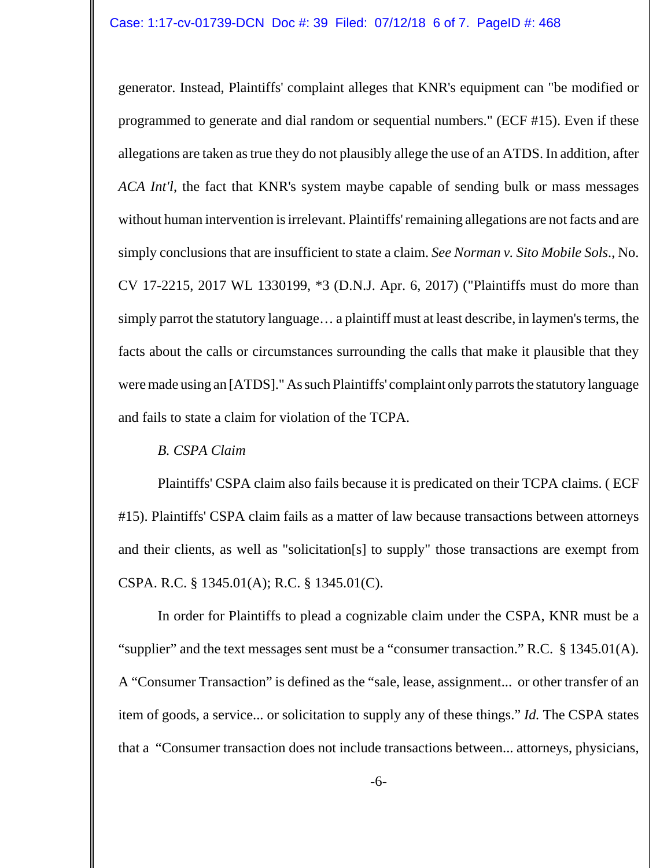generator. Instead, Plaintiffs' complaint alleges that KNR's equipment can "be modified or programmed to generate and dial random or sequential numbers." (ECF #15). Even if these allegations are taken as true they do not plausibly allege the use of an ATDS. In addition, after *ACA Int'l*, the fact that KNR's system maybe capable of sending bulk or mass messages without human intervention is irrelevant. Plaintiffs' remaining allegations are not facts and are simply conclusions that are insufficient to state a claim. *See Norman v. Sito Mobile Sols*., No. CV 17-2215, 2017 WL 1330199, \*3 (D.N.J. Apr. 6, 2017) ("Plaintiffs must do more than simply parrot the statutory language… a plaintiff must at least describe, in laymen's terms, the facts about the calls or circumstances surrounding the calls that make it plausible that they were made using an [ATDS]." As such Plaintiffs' complaint only parrots the statutory language and fails to state a claim for violation of the TCPA.

# *B. CSPA Claim*

Plaintiffs' CSPA claim also fails because it is predicated on their TCPA claims. ( ECF #15). Plaintiffs' CSPA claim fails as a matter of law because transactions between attorneys and their clients, as well as "solicitation[s] to supply" those transactions are exempt from CSPA. R.C. § 1345.01(A); R.C. § 1345.01(C).

In order for Plaintiffs to plead a cognizable claim under the CSPA, KNR must be a "supplier" and the text messages sent must be a "consumer transaction." R.C. § 1345.01(A). A "Consumer Transaction" is defined as the "sale, lease, assignment... or other transfer of an item of goods, a service... or solicitation to supply any of these things." *Id.* The CSPA states that a "Consumer transaction does not include transactions between... attorneys, physicians,